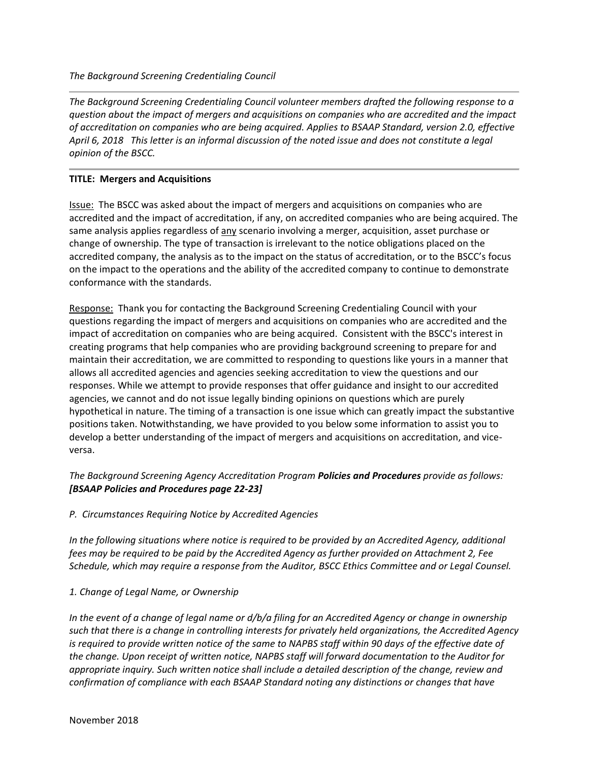*The Background Screening Credentialing Council volunteer members drafted the following response to a question about the impact of mergers and acquisitions on companies who are accredited and the impact of accreditation on companies who are being acquired. Applies to BSAAP Standard, version 2.0, effective April 6, 2018 This letter is an informal discussion of the noted issue and does not constitute a legal opinion of the BSCC.*

### **TITLE: Mergers and Acquisitions**

Issue: The BSCC was asked about the impact of mergers and acquisitions on companies who are accredited and the impact of accreditation, if any, on accredited companies who are being acquired. The same analysis applies regardless of any scenario involving a merger, acquisition, asset purchase or change of ownership. The type of transaction is irrelevant to the notice obligations placed on the accredited company, the analysis as to the impact on the status of accreditation, or to the BSCC's focus on the impact to the operations and the ability of the accredited company to continue to demonstrate conformance with the standards.

Response: Thank you for contacting the Background Screening Credentialing Council with your questions regarding the impact of mergers and acquisitions on companies who are accredited and the impact of accreditation on companies who are being acquired. Consistent with the BSCC's interest in creating programs that help companies who are providing background screening to prepare for and maintain their accreditation, we are committed to responding to questions like yours in a manner that allows all accredited agencies and agencies seeking accreditation to view the questions and our responses. While we attempt to provide responses that offer guidance and insight to our accredited agencies, we cannot and do not issue legally binding opinions on questions which are purely hypothetical in nature. The timing of a transaction is one issue which can greatly impact the substantive positions taken. Notwithstanding, we have provided to you below some information to assist you to develop a better understanding of the impact of mergers and acquisitions on accreditation, and viceversa.

# *The Background Screening Agency Accreditation Program Policies and Procedures provide as follows: [BSAAP Policies and Procedures page 22-23]*

### *P. Circumstances Requiring Notice by Accredited Agencies*

*In the following situations where notice is required to be provided by an Accredited Agency, additional fees may be required to be paid by the Accredited Agency as further provided on Attachment 2, Fee Schedule, which may require a response from the Auditor, BSCC Ethics Committee and or Legal Counsel.* 

### *1. Change of Legal Name, or Ownership*

*In the event of a change of legal name or d/b/a filing for an Accredited Agency or change in ownership such that there is a change in controlling interests for privately held organizations, the Accredited Agency*  is required to provide written notice of the same to NAPBS staff within 90 days of the effective date of *the change. Upon receipt of written notice, NAPBS staff will forward documentation to the Auditor for appropriate inquiry. Such written notice shall include a detailed description of the change, review and confirmation of compliance with each BSAAP Standard noting any distinctions or changes that have*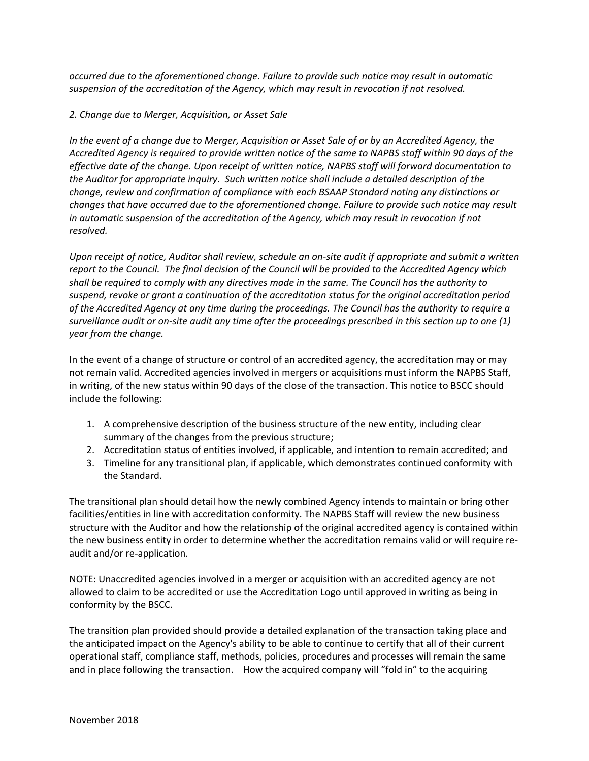*occurred due to the aforementioned change. Failure to provide such notice may result in automatic suspension of the accreditation of the Agency, which may result in revocation if not resolved.* 

## *2. Change due to Merger, Acquisition, or Asset Sale*

*In the event of a change due to Merger, Acquisition or Asset Sale of or by an Accredited Agency, the Accredited Agency is required to provide written notice of the same to NAPBS staff within 90 days of the effective date of the change. Upon receipt of written notice, NAPBS staff will forward documentation to the Auditor for appropriate inquiry. Such written notice shall include a detailed description of the change, review and confirmation of compliance with each BSAAP Standard noting any distinctions or changes that have occurred due to the aforementioned change. Failure to provide such notice may result in automatic suspension of the accreditation of the Agency, which may result in revocation if not resolved.* 

*Upon receipt of notice, Auditor shall review, schedule an on-site audit if appropriate and submit a written report to the Council. The final decision of the Council will be provided to the Accredited Agency which shall be required to comply with any directives made in the same. The Council has the authority to suspend, revoke or grant a continuation of the accreditation status for the original accreditation period of the Accredited Agency at any time during the proceedings. The Council has the authority to require a surveillance audit or on-site audit any time after the proceedings prescribed in this section up to one (1) year from the change.*

In the event of a change of structure or control of an accredited agency, the accreditation may or may not remain valid. Accredited agencies involved in mergers or acquisitions must inform the NAPBS Staff, in writing, of the new status within 90 days of the close of the transaction. This notice to BSCC should include the following:

- 1. A comprehensive description of the business structure of the new entity, including clear summary of the changes from the previous structure;
- 2. Accreditation status of entities involved, if applicable, and intention to remain accredited; and
- 3. Timeline for any transitional plan, if applicable, which demonstrates continued conformity with the Standard.

The transitional plan should detail how the newly combined Agency intends to maintain or bring other facilities/entities in line with accreditation conformity. The NAPBS Staff will review the new business structure with the Auditor and how the relationship of the original accredited agency is contained within the new business entity in order to determine whether the accreditation remains valid or will require reaudit and/or re-application.

NOTE: Unaccredited agencies involved in a merger or acquisition with an accredited agency are not allowed to claim to be accredited or use the Accreditation Logo until approved in writing as being in conformity by the BSCC.

The transition plan provided should provide a detailed explanation of the transaction taking place and the anticipated impact on the Agency's ability to be able to continue to certify that all of their current operational staff, compliance staff, methods, policies, procedures and processes will remain the same and in place following the transaction. How the acquired company will "fold in" to the acquiring